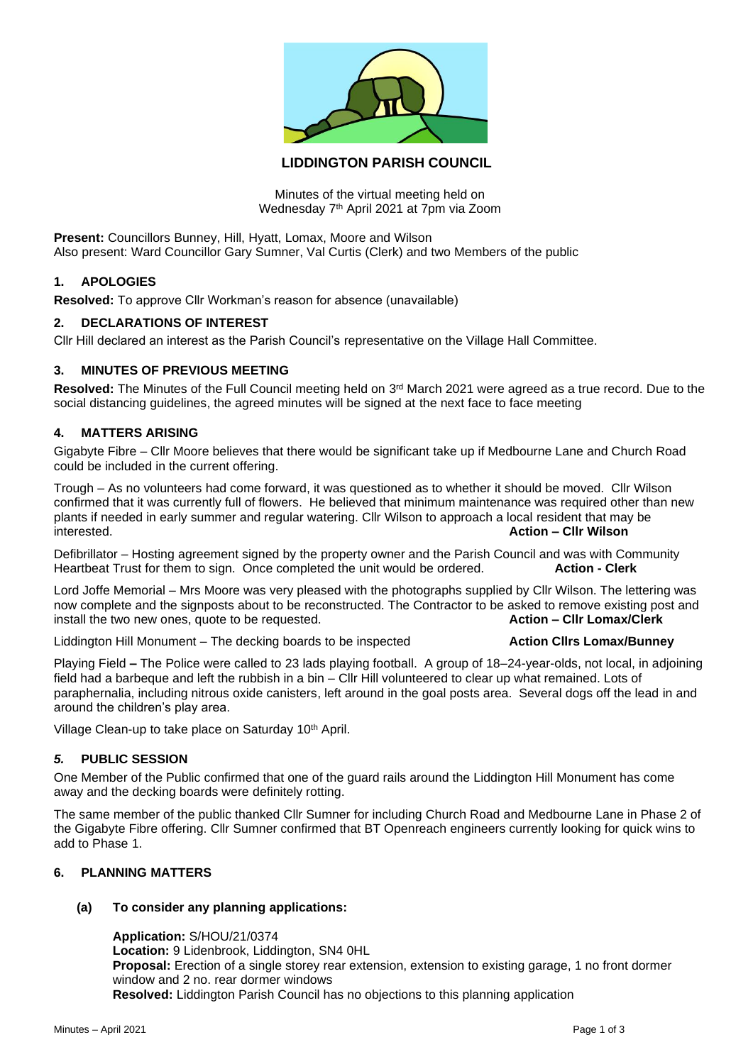

# **LIDDINGTON PARISH COUNCIL**

Minutes of the virtual meeting held on Wednesday 7<sup>th</sup> April 2021 at 7pm via Zoom

**Present:** Councillors Bunney, Hill, Hyatt, Lomax, Moore and Wilson Also present: Ward Councillor Gary Sumner, Val Curtis (Clerk) and two Members of the public

## **1. APOLOGIES**

**Resolved:** To approve Cllr Workman's reason for absence (unavailable)

## **2. DECLARATIONS OF INTEREST**

Cllr Hill declared an interest as the Parish Council's representative on the Village Hall Committee.

## **3. MINUTES OF PREVIOUS MEETING**

Resolved: The Minutes of the Full Council meeting held on 3<sup>rd</sup> March 2021 were agreed as a true record. Due to the social distancing guidelines, the agreed minutes will be signed at the next face to face meeting

## **4. MATTERS ARISING**

Gigabyte Fibre – Cllr Moore believes that there would be significant take up if Medbourne Lane and Church Road could be included in the current offering.

Trough – As no volunteers had come forward, it was questioned as to whether it should be moved. Cllr Wilson confirmed that it was currently full of flowers. He believed that minimum maintenance was required other than new plants if needed in early summer and regular watering. Cllr Wilson to approach a local resident that may be interested. **Action – Cllr Wilson**

Defibrillator – Hosting agreement signed by the property owner and the Parish Council and was with Community Heartbeat Trust for them to sign. Once completed the unit would be ordered. **Action - Clerk**

Lord Joffe Memorial – Mrs Moore was very pleased with the photographs supplied by Cllr Wilson. The lettering was now complete and the signposts about to be reconstructed. The Contractor to be asked to remove existing post and install the two new ones, quote to be requested. **Action – Clir Lomax/Clerk** 

Liddington Hill Monument – The decking boards to be inspected **Action Clirs Lomax/Bunney** 

Playing Field **–** The Police were called to 23 lads playing football. A group of 18–24-year-olds, not local, in adjoining field had a barbeque and left the rubbish in a bin – Cllr Hill volunteered to clear up what remained. Lots of paraphernalia, including nitrous oxide canisters, left around in the goal posts area. Several dogs off the lead in and around the children's play area.

Village Clean-up to take place on Saturday 10<sup>th</sup> April.

### *5.* **PUBLIC SESSION**

One Member of the Public confirmed that one of the guard rails around the Liddington Hill Monument has come away and the decking boards were definitely rotting.

The same member of the public thanked Cllr Sumner for including Church Road and Medbourne Lane in Phase 2 of the Gigabyte Fibre offering. Cllr Sumner confirmed that BT Openreach engineers currently looking for quick wins to add to Phase 1.

# **6. PLANNING MATTERS**

# **(a) To consider any planning applications:**

**Application:** S/HOU/21/0374 **Location:** 9 Lidenbrook, Liddington, SN4 0HL **Proposal:** Erection of a single storey rear extension, extension to existing garage, 1 no front dormer window and 2 no. rear dormer windows **Resolved:** Liddington Parish Council has no objections to this planning application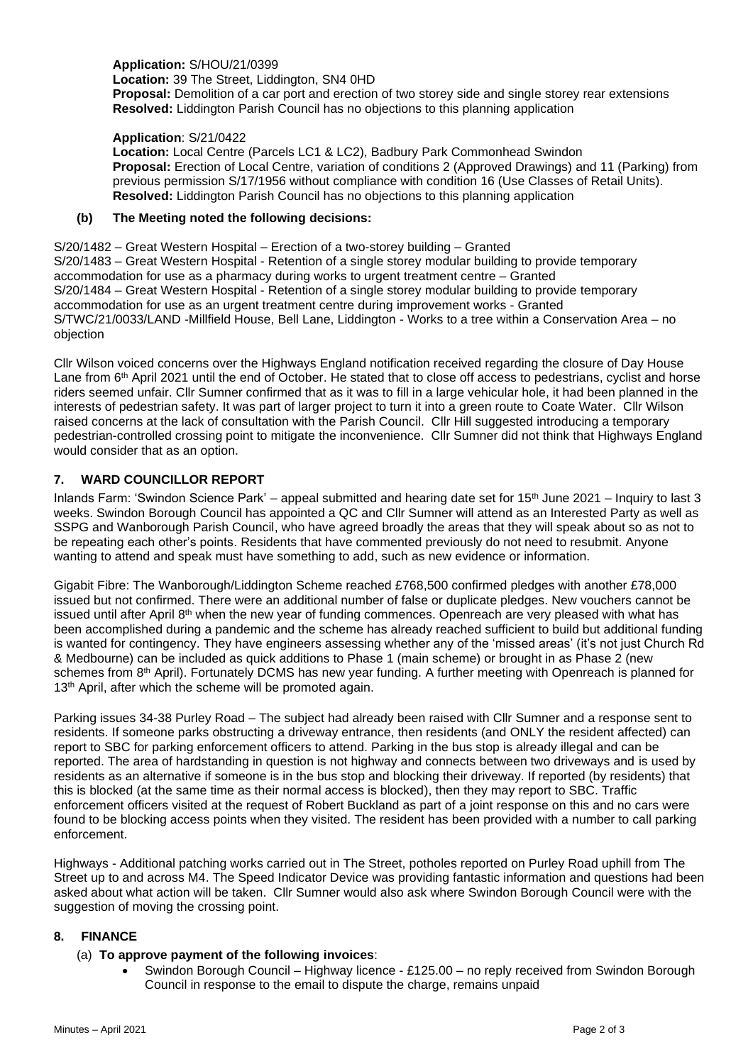**Application:** S/HOU/21/0399 **Location:** 39 The Street, Liddington, SN4 0HD **Proposal:** Demolition of a car port and erection of two storey side and single storey rear extensions **Resolved:** Liddington Parish Council has no objections to this planning application

**Application**: S/21/0422

**Location:** Local Centre (Parcels LC1 & LC2), Badbury Park Commonhead Swindon **Proposal:** Erection of Local Centre, variation of conditions 2 (Approved Drawings) and 11 (Parking) from previous permission S/17/1956 without compliance with condition 16 (Use Classes of Retail Units). **Resolved:** Liddington Parish Council has no objections to this planning application

### **(b) The Meeting noted the following decisions:**

S/20/1482 – Great Western Hospital – Erection of a two-storey building – Granted S/20/1483 – Great Western Hospital - Retention of a single storey modular building to provide temporary accommodation for use as a pharmacy during works to urgent treatment centre – Granted S/20/1484 – Great Western Hospital - Retention of a single storey modular building to provide temporary accommodation for use as an urgent treatment centre during improvement works - Granted S/TWC/21/0033/LAND -Millfield House, Bell Lane, Liddington - Works to a tree within a Conservation Area – no objection

Cllr Wilson voiced concerns over the Highways England notification received regarding the closure of Day House Lane from 6<sup>th</sup> April 2021 until the end of October. He stated that to close off access to pedestrians, cyclist and horse riders seemed unfair. Cllr Sumner confirmed that as it was to fill in a large vehicular hole, it had been planned in the interests of pedestrian safety. It was part of larger project to turn it into a green route to Coate Water. Cllr Wilson raised concerns at the lack of consultation with the Parish Council. Cllr Hill suggested introducing a temporary pedestrian-controlled crossing point to mitigate the inconvenience. Cllr Sumner did not think that Highways England would consider that as an option.

# **7. WARD COUNCILLOR REPORT**

Inlands Farm: 'Swindon Science Park' – appeal submitted and hearing date set for 15th June 2021 – Inquiry to last 3 weeks. Swindon Borough Council has appointed a QC and Cllr Sumner will attend as an Interested Party as well as SSPG and Wanborough Parish Council, who have agreed broadly the areas that they will speak about so as not to be repeating each other's points. Residents that have commented previously do not need to resubmit. Anyone wanting to attend and speak must have something to add, such as new evidence or information.

Gigabit Fibre: The Wanborough/Liddington Scheme reached £768,500 confirmed pledges with another £78,000 issued but not confirmed. There were an additional number of false or duplicate pledges. New vouchers cannot be issued until after April 8<sup>th</sup> when the new year of funding commences. Openreach are very pleased with what has been accomplished during a pandemic and the scheme has already reached sufficient to build but additional funding is wanted for contingency. They have engineers assessing whether any of the 'missed areas' (it's not just Church Rd & Medbourne) can be included as quick additions to Phase 1 (main scheme) or brought in as Phase 2 (new schemes from 8<sup>th</sup> April). Fortunately DCMS has new year funding. A further meeting with Openreach is planned for 13<sup>th</sup> April, after which the scheme will be promoted again.

Parking issues 34-38 Purley Road – The subject had already been raised with Cllr Sumner and a response sent to residents. If someone parks obstructing a driveway entrance, then residents (and ONLY the resident affected) can report to SBC for parking enforcement officers to attend. Parking in the bus stop is already illegal and can be reported. The area of hardstanding in question is not highway and connects between two driveways and is used by residents as an alternative if someone is in the bus stop and blocking their driveway. If reported (by residents) that this is blocked (at the same time as their normal access is blocked), then they may report to SBC. Traffic enforcement officers visited at the request of Robert Buckland as part of a joint response on this and no cars were found to be blocking access points when they visited. The resident has been provided with a number to call parking enforcement.

Highways - Additional patching works carried out in The Street, potholes reported on Purley Road uphill from The Street up to and across M4. The Speed Indicator Device was providing fantastic information and questions had been asked about what action will be taken. Cllr Sumner would also ask where Swindon Borough Council were with the suggestion of moving the crossing point.

# **8. FINANCE**

# (a) **To approve payment of the following invoices**:

• Swindon Borough Council – Highway licence - £125.00 – no reply received from Swindon Borough Council in response to the email to dispute the charge, remains unpaid